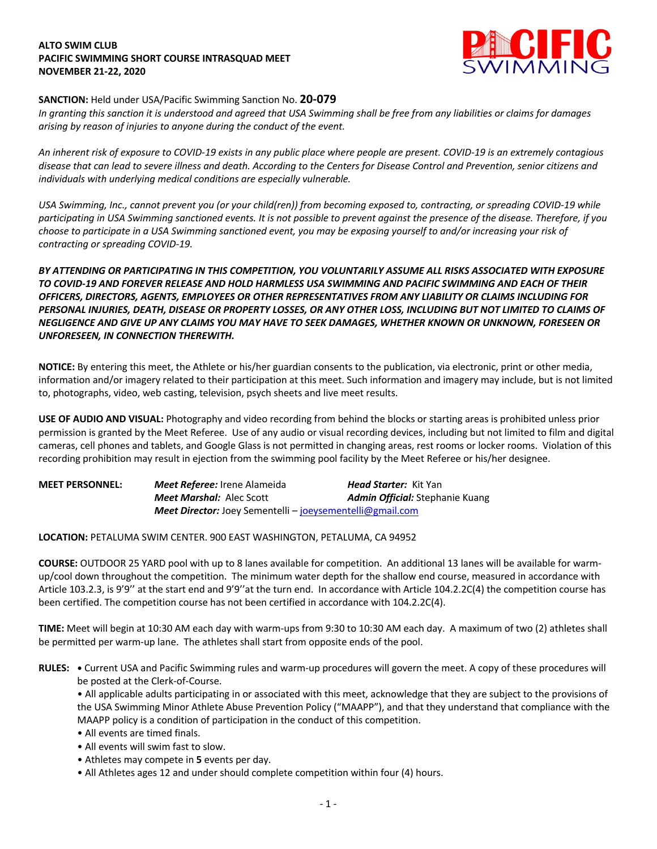### **ALTO SWIM CLUB PACIFIC SWIMMING SHORT COURSE INTRASQUAD MEET NOVEMBER 21-22, 2020**



## **SANCTION:** Held under USA/Pacific Swimming Sanction No. **20-079**

*In granting this sanction it is understood and agreed that USA Swimming shall be free from any liabilities or claims for damages arising by reason of injuries to anyone during the conduct of the event.* 

*An inherent risk of exposure to COVID-19 exists in any public place where people are present. COVID-19 is an extremely contagious disease that can lead to severe illness and death. According to the Centers for Disease Control and Prevention, senior citizens and individuals with underlying medical conditions are especially vulnerable.*

*USA Swimming, Inc., cannot prevent you (or your child(ren)) from becoming exposed to, contracting, or spreading COVID-19 while participating in USA Swimming sanctioned events. It is not possible to prevent against the presence of the disease. Therefore, if you choose to participate in a USA Swimming sanctioned event, you may be exposing yourself to and/or increasing your risk of contracting or spreading COVID-19.*

# *BY ATTENDING OR PARTICIPATING IN THIS COMPETITION, YOU VOLUNTARILY ASSUME ALL RISKS ASSOCIATED WITH EXPOSURE TO COVID-19 AND FOREVER RELEASE AND HOLD HARMLESS USA SWIMMING AND PACIFIC SWIMMING AND EACH OF THEIR OFFICERS, DIRECTORS, AGENTS, EMPLOYEES OR OTHER REPRESENTATIVES FROM ANY LIABILITY OR CLAIMS INCLUDING FOR PERSONAL INJURIES, DEATH, DISEASE OR PROPERTY LOSSES, OR ANY OTHER LOSS, INCLUDING BUT NOT LIMITED TO CLAIMS OF NEGLIGENCE AND GIVE UP ANY CLAIMS YOU MAY HAVE TO SEEK DAMAGES, WHETHER KNOWN OR UNKNOWN, FORESEEN OR UNFORESEEN, IN CONNECTION THEREWITH.*

**NOTICE:** By entering this meet, the Athlete or his/her guardian consents to the publication, via electronic, print or other media, information and/or imagery related to their participation at this meet. Such information and imagery may include, but is not limited to, photographs, video, web casting, television, psych sheets and live meet results.

**USE OF AUDIO AND VISUAL:** Photography and video recording from behind the blocks or starting areas is prohibited unless prior permission is granted by the Meet Referee. Use of any audio or visual recording devices, including but not limited to film and digital cameras, cell phones and tablets, and Google Glass is not permitted in changing areas, rest rooms or locker rooms. Violation of this recording prohibition may result in ejection from the swimming pool facility by the Meet Referee or his/her designee.

| <b>MEET PERSONNEL:</b> | <b>Meet Referee:</b> Irene Alameida                              | <b>Head Starter:</b> Kit Yan           |
|------------------------|------------------------------------------------------------------|----------------------------------------|
|                        | <b>Meet Marshal:</b> Alec Scott                                  | <b>Admin Official:</b> Stephanie Kuang |
|                        | <b>Meet Director:</b> Joey Sementelli – joeysementelli@gmail.com |                                        |

### **LOCATION:** PETALUMA SWIM CENTER. 900 EAST WASHINGTON, PETALUMA, CA 94952

**COURSE:** OUTDOOR 25 YARD pool with up to 8 lanes available for competition. An additional 13 lanes will be available for warmup/cool down throughout the competition. The minimum water depth for the shallow end course, measured in accordance with Article 103.2.3, is 9'9'' at the start end and 9'9''at the turn end. In accordance with Article 104.2.2C(4) the competition course has been certified. The competition course has not been certified in accordance with 104.2.2C(4).

**TIME:** Meet will begin at 10:30 AM each day with warm-ups from 9:30 to 10:30 AM each day. A maximum of two (2) athletes shall be permitted per warm-up lane. The athletes shall start from opposite ends of the pool.

**RULES: •** Current USA and Pacific Swimming rules and warm-up procedures will govern the meet. A copy of these procedures will be posted at the Clerk-of-Course.

• All applicable adults participating in or associated with this meet, acknowledge that they are subject to the provisions of the USA Swimming Minor Athlete Abuse Prevention Policy ("MAAPP"), and that they understand that compliance with the MAAPP policy is a condition of participation in the conduct of this competition.

- All events are timed finals.
- All events will swim fast to slow.
- Athletes may compete in **5** events per day.
- All Athletes ages 12 and under should complete competition within four (4) hours.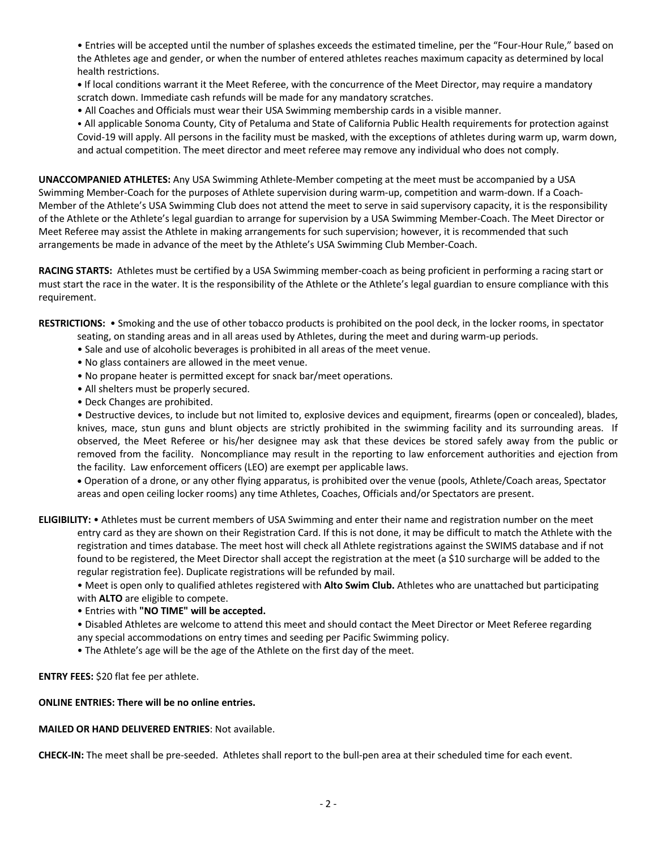• Entries will be accepted until the number of splashes exceeds the estimated timeline, per the "Four-Hour Rule," based on the Athletes age and gender, or when the number of entered athletes reaches maximum capacity as determined by local health restrictions.

**•** If local conditions warrant it the Meet Referee, with the concurrence of the Meet Director, may require a mandatory scratch down. Immediate cash refunds will be made for any mandatory scratches.

• All Coaches and Officials must wear their USA Swimming membership cards in a visible manner.

• All applicable Sonoma County, City of Petaluma and State of California Public Health requirements for protection against Covid-19 will apply. All persons in the facility must be masked, with the exceptions of athletes during warm up, warm down, and actual competition. The meet director and meet referee may remove any individual who does not comply.

**UNACCOMPANIED ATHLETES:** Any USA Swimming Athlete-Member competing at the meet must be accompanied by a USA Swimming Member-Coach for the purposes of Athlete supervision during warm-up, competition and warm-down. If a Coach-Member of the Athlete's USA Swimming Club does not attend the meet to serve in said supervisory capacity, it is the responsibility of the Athlete or the Athlete's legal guardian to arrange for supervision by a USA Swimming Member-Coach. The Meet Director or Meet Referee may assist the Athlete in making arrangements for such supervision; however, it is recommended that such arrangements be made in advance of the meet by the Athlete's USA Swimming Club Member-Coach.

**RACING STARTS:** Athletes must be certified by a USA Swimming member-coach as being proficient in performing a racing start or must start the race in the water. It is the responsibility of the Athlete or the Athlete's legal guardian to ensure compliance with this requirement.

**RESTRICTIONS:** • Smoking and the use of other tobacco products is prohibited on the pool deck, in the locker rooms, in spectator

- seating, on standing areas and in all areas used by Athletes, during the meet and during warm-up periods.
- Sale and use of alcoholic beverages is prohibited in all areas of the meet venue.
- No glass containers are allowed in the meet venue.
- No propane heater is permitted except for snack bar/meet operations.
- All shelters must be properly secured.
- Deck Changes are prohibited.

• Destructive devices, to include but not limited to, explosive devices and equipment, firearms (open or concealed), blades, knives, mace, stun guns and blunt objects are strictly prohibited in the swimming facility and its surrounding areas. If observed, the Meet Referee or his/her designee may ask that these devices be stored safely away from the public or removed from the facility. Noncompliance may result in the reporting to law enforcement authorities and ejection from the facility. Law enforcement officers (LEO) are exempt per applicable laws.

• Operation of a drone, or any other flying apparatus, is prohibited over the venue (pools, Athlete/Coach areas, Spectator areas and open ceiling locker rooms) any time Athletes, Coaches, Officials and/or Spectators are present.

**ELIGIBILITY:** • Athletes must be current members of USA Swimming and enter their name and registration number on the meet entry card as they are shown on their Registration Card. If this is not done, it may be difficult to match the Athlete with the registration and times database. The meet host will check all Athlete registrations against the SWIMS database and if not found to be registered, the Meet Director shall accept the registration at the meet (a \$10 surcharge will be added to the regular registration fee). Duplicate registrations will be refunded by mail.

• Meet is open only to qualified athletes registered with **Alto Swim Club.** Athletes who are unattached but participating with **ALTO** are eligible to compete.

• Entries with **"NO TIME" will be accepted.** 

• Disabled Athletes are welcome to attend this meet and should contact the Meet Director or Meet Referee regarding any special accommodations on entry times and seeding per Pacific Swimming policy.

• The Athlete's age will be the age of the Athlete on the first day of the meet.

**ENTRY FEES:** \$20 flat fee per athlete.

## **ONLINE ENTRIES: There will be no online entries.**

### **MAILED OR HAND DELIVERED ENTRIES**: Not available.

**CHECK-IN:** The meet shall be pre-seeded. Athletes shall report to the bull-pen area at their scheduled time for each event.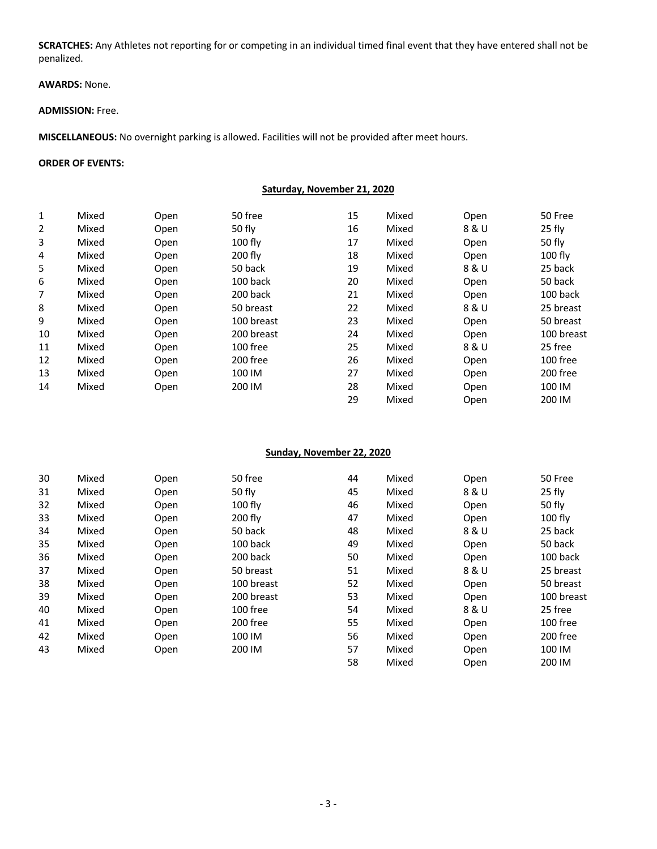**SCRATCHES:** Any Athletes not reporting for or competing in an individual timed final event that they have entered shall not be penalized.

# **AWARDS:** None.

#### **ADMISSION:** Free.

**MISCELLANEOUS:** No overnight parking is allowed. Facilities will not be provided after meet hours.

#### **ORDER OF EVENTS:**

| 1              | Mixed | Open | 50 free    | 15 | Mixed | Open  | 50 Free    |
|----------------|-------|------|------------|----|-------|-------|------------|
| $\overline{2}$ | Mixed | Open | 50 fly     | 16 | Mixed | 8 & U | 25 fly     |
| 3              | Mixed | Open | $100$ fly  | 17 | Mixed | Open  | 50 fly     |
| 4              | Mixed | Open | 200 fly    | 18 | Mixed | Open  | $100$ fly  |
| 5              | Mixed | Open | 50 back    | 19 | Mixed | 8 & U | 25 back    |
| 6              | Mixed | Open | 100 back   | 20 | Mixed | Open  | 50 back    |
| 7              | Mixed | Open | 200 back   | 21 | Mixed | Open  | 100 back   |
| 8              | Mixed | Open | 50 breast  | 22 | Mixed | 8 & U | 25 breast  |
| 9              | Mixed | Open | 100 breast | 23 | Mixed | Open  | 50 breast  |
| 10             | Mixed | Open | 200 breast | 24 | Mixed | Open  | 100 breast |
| 11             | Mixed | Open | 100 free   | 25 | Mixed | 8 & U | 25 free    |
| 12             | Mixed | Open | 200 free   | 26 | Mixed | Open  | 100 free   |
| 13             | Mixed | Open | 100 IM     | 27 | Mixed | Open  | 200 free   |
| 14             | Mixed | Open | 200 IM     | 28 | Mixed | Open  | 100 IM     |
|                |       |      |            | 29 | Mixed | Open  | 200 IM     |

#### **Sunday, November 22, 2020**

| 30 | Mixed | Open | 50 free    | 44 | Mixed | Open  | 50 Free    |
|----|-------|------|------------|----|-------|-------|------------|
| 31 | Mixed | Open | 50 fly     | 45 | Mixed | 8 & U | 25 fly     |
| 32 | Mixed | Open | $100$ fly  | 46 | Mixed | Open  | 50 fly     |
| 33 | Mixed | Open | $200$ fly  | 47 | Mixed | Open  | $100$ fly  |
| 34 | Mixed | Open | 50 back    | 48 | Mixed | 8 & U | 25 back    |
| 35 | Mixed | Open | 100 back   | 49 | Mixed | Open  | 50 back    |
| 36 | Mixed | Open | 200 back   | 50 | Mixed | Open  | 100 back   |
| 37 | Mixed | Open | 50 breast  | 51 | Mixed | 8 & U | 25 breast  |
| 38 | Mixed | Open | 100 breast | 52 | Mixed | Open  | 50 breast  |
| 39 | Mixed | Open | 200 breast | 53 | Mixed | Open  | 100 breast |
| 40 | Mixed | Open | 100 free   | 54 | Mixed | 8 & U | 25 free    |
| 41 | Mixed | Open | 200 free   | 55 | Mixed | Open  | 100 free   |
| 42 | Mixed | Open | 100 IM     | 56 | Mixed | Open  | 200 free   |
| 43 | Mixed | Open | 200 IM     | 57 | Mixed | Open  | 100 IM     |
|    |       |      |            | 58 | Mixed | Open  | 200 IM     |